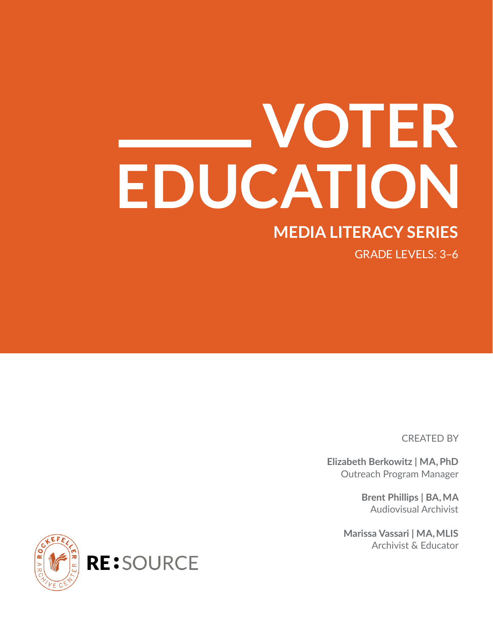# **MEDIA LITERACY SERIES VOTER EDUCATION**

GRADE LEVELS: 3–6

CREATED BY

**Elizabeth Berkowitz | MA, PhD** Outreach Program Manager

> **Brent Phillips | BA, MA** Audiovisual Archivist

**Marissa Vassari | MA, MLIS** Archivist & Educator

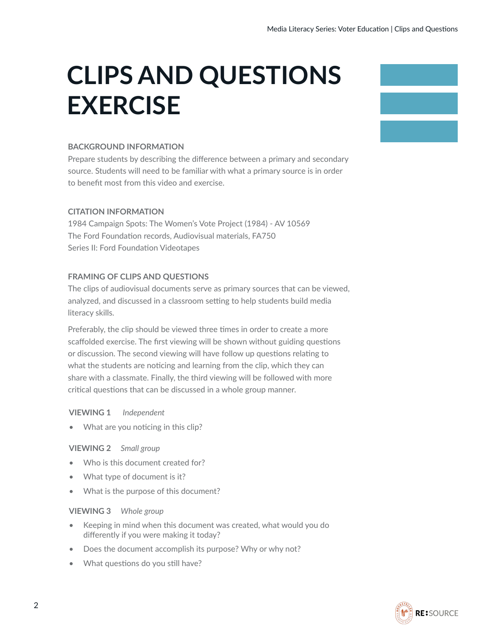# **CLIPS AND QUESTIONS EXERCISE**

### **BACKGROUND INFORMATION**

Prepare students by describing the difference between a primary and secondary source. Students will need to be familiar with what a primary source is in order to benefit most from this video and exercise.

### **CITATION INFORMATION**

1984 Campaign Spots: The Women's Vote Project (1984) - AV 10569 The Ford Foundation records, Audiovisual materials, FA750 Series II: Ford Foundation Videotapes

### **FRAMING OF CLIPS AND QUESTIONS**

The clips of audiovisual documents serve as primary sources that can be viewed, analyzed, and discussed in a classroom setting to help students build media literacy skills.

Preferably, the clip should be viewed three times in order to create a more scaffolded exercise. The first viewing will be shown without guiding questions or discussion. The second viewing will have follow up questions relating to what the students are noticing and learning from the clip, which they can share with a classmate. Finally, the third viewing will be followed with more critical questions that can be discussed in a whole group manner.

### **VIEWING 1** *Independent*

What are you noticing in this clip?

### **VIEWING 2** *Small group*

- Who is this document created for?
- What type of document is it?
- What is the purpose of this document?

### **VIEWING 3** *Whole group*

- Keeping in mind when this document was created, what would you do differently if you were making it today?
- Does the document accomplish its purpose? Why or why not?
- What questions do you still have?



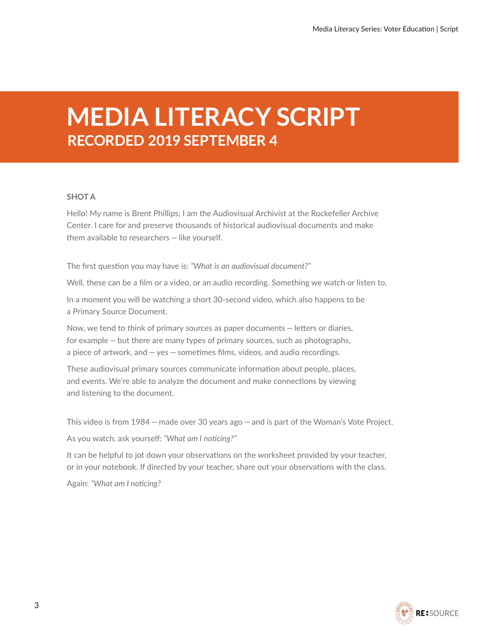### **MEDIA LITERACY SCRIPT RECORDED 2019 SEPTEMBER 4**

### **SHOT A**

Hello! My name is Brent Phillips; I am the Audiovisual Archivist at the Rockefeller Archive Center. I care for and preserve thousands of historical audiovisual documents and make them available to researchers — like yourself.

The first question you may have is: *"What is an audiovisual document?"* 

Well, these can be a film or a video, or an audio recording. Something we watch or listen to.

In a moment you will be watching a short 30-second video, which also happens to be a Primary Source Document.

Now, we tend to think of primary sources as paper documents — letters or diaries, for example — but there are many types of primary sources, such as photographs, a piece of artwork, and — yes — sometimes films, videos, and audio recordings.

These audiovisual primary sources communicate information about people, places, and events. We're able to analyze the document and make connections by viewing and listening to the document.

This video is from 1984 — made over 30 years ago — and is part of the Woman's Vote Project.

As you watch, ask yourself: *"What am I noticing?"*

It can be helpful to jot down your observations on the worksheet provided by your teacher, or in your notebook. If directed by your teacher, share out your observations with the class.

Again: *"What am I noticing?*

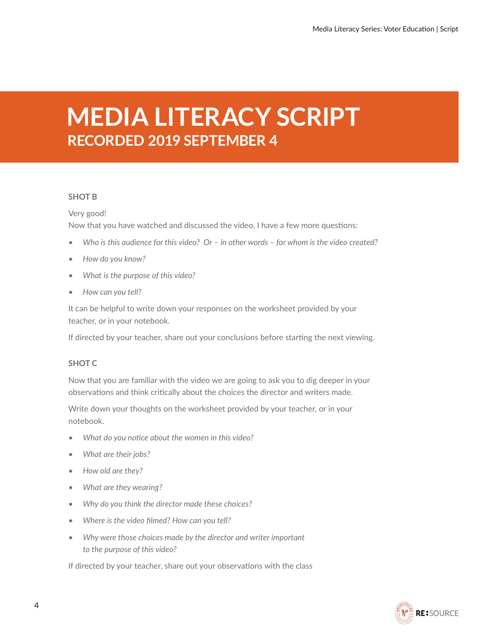### **MEDIA LITERACY SCRIPT RECORDED 2019 SEPTEMBER 4**

### **SHOT B**

### Very good! Now that you have watched and discussed the video, I have a few more questions:

- *• Who is this audience for this video? Or in other words for whom is the video created?*
- *• How do you know?*
- *• What is the purpose of this video?*
- *• How can you tell?*

It can be helpful to write down your responses on the worksheet provided by your teacher, or in your notebook.

If directed by your teacher, share out your conclusions before starting the next viewing.

### **SHOT C**

Now that you are familiar with the video we are going to ask you to dig deeper in your observations and think critically about the choices the director and writers made.

Write down your thoughts on the worksheet provided by your teacher, or in your notebook.

- *• What do you notice about the women in this video?*
- *• What are their jobs?*
- *• How old are they?*
- *• What are they wearing?*
- *• Why do you think the director made these choices?*
- *• Where is the video filmed? How can you tell?*
- *• Why were those choices made by the director and writer important to the purpose of this video?*

If directed by your teacher, share out your observations with the class

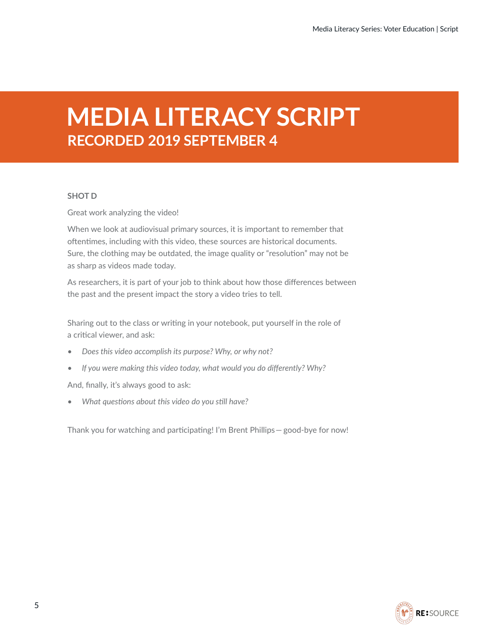### **MEDIA LITERACY SCRIPT RECORDED 2019 SEPTEMBER 4**

### **SHOT D**

Great work analyzing the video!

When we look at audiovisual primary sources, it is important to remember that oftentimes, including with this video, these sources are historical documents. Sure, the clothing may be outdated, the image quality or "resolution" may not be as sharp as videos made today.

As researchers, it is part of your job to think about how those differences between the past and the present impact the story a video tries to tell.

Sharing out to the class or writing in your notebook, put yourself in the role of a critical viewer, and ask:

- *• Does this video accomplish its purpose? Why, or why not?*
- *• If you were making this video today, what would you do differently? Why?*

And, finally, it's always good to ask:

*• What questions about this video do you still have?*

Thank you for watching and participating! I'm Brent Phillips— good-bye for now!

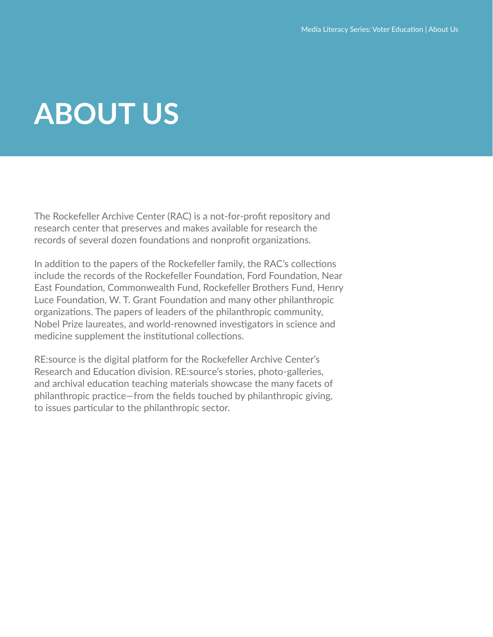# **ABOUT US**

The Rockefeller Archive Center (RAC) is a not-for-profit repository and research center that preserves and makes available for research the records of several dozen foundations and nonprofit organizations.

In addition to the papers of the Rockefeller family, the RAC's collections include the records of the Rockefeller Foundation, Ford Foundation, Near East Foundation, Commonwealth Fund, Rockefeller Brothers Fund, Henry Luce Foundation, W. T. Grant Foundation and many other philanthropic organizations. The papers of leaders of the philanthropic community, Nobel Prize laureates, and world-renowned investigators in science and medicine supplement the institutional collections.

RE:source is the digital platform for the Rockefeller Archive Center's Research and Education division. RE:source's stories, photo-galleries, and archival education teaching materials showcase the many facets of philanthropic practice—from the fields touched by philanthropic giving, to issues particular to the philanthropic sector.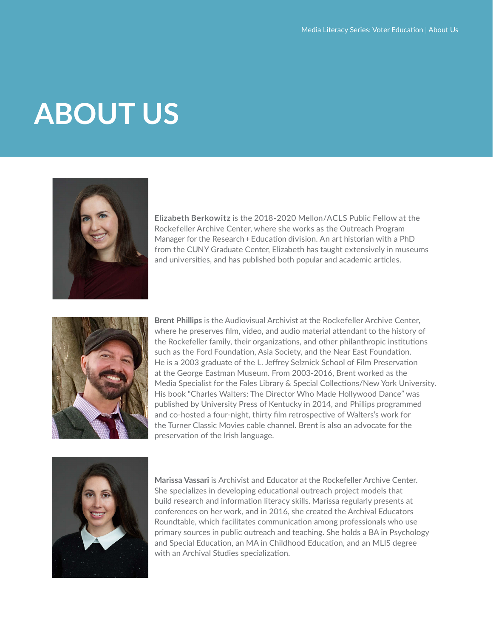# **ABOUT US**



**Elizabeth Berkowitz** is the 2018-2020 Mellon/ACLS Public Fellow at the Rockefeller Archive Center, where she works as the Outreach Program Manager for the Research + Education division. An art historian with a PhD from the CUNY Graduate Center, Elizabeth has taught extensively in museums and universities, and has published both popular and academic articles.



**Brent Phillips** is the Audiovisual Archivist at the Rockefeller Archive Center, where he preserves film, video, and audio material attendant to the history of the Rockefeller family, their organizations, and other philanthropic institutions such as the Ford Foundation, Asia Society, and the Near East Foundation. He is a 2003 graduate of the L. Jeffrey Selznick School of Film Preservation at the George Eastman Museum. From 2003-2016, Brent worked as the Media Specialist for the Fales Library & Special Collections/New York University. His book "Charles Walters: The Director Who Made Hollywood Dance" was published by University Press of Kentucky in 2014, and Phillips programmed and co-hosted a four-night, thirty film retrospective of Walters's work for the Turner Classic Movies cable channel. Brent is also an advocate for the preservation of the Irish language.



**Marissa Vassari** is Archivist and Educator at the Rockefeller Archive Center. She specializes in developing educational outreach project models that build research and information literacy skills. Marissa regularly presents at conferences on her work, and in 2016, she created the Archival Educators Roundtable, which facilitates communication among professionals who use primary sources in public outreach and teaching. She holds a BA in Psychology and Special Education, an MA in Childhood Education, and an MLIS degree with an Archival Studies specialization.